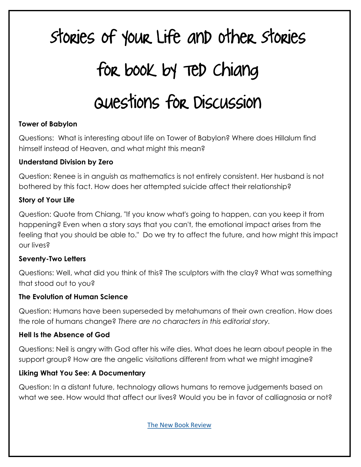# Stories of Your Life and Other Stories for book by Ted Chiang Questions for Discussion

#### **Tower of Babylon**

Questions: What is interesting about life on Tower of Babylon? Where does Hillalum find himself instead of Heaven, and what might this mean?

#### **Understand Division by Zero**

Question: Renee is in anguish as mathematics is not entirely consistent. Her husband is not bothered by this fact. How does her attempted suicide affect their relationship?

#### **Story of Your Life**

Question: Quote from Chiang, "If you know what's going to happen, can you keep it from happening? Even when a story says that you can't, the emotional impact arises from the feeling that you should be able to." Do we try to affect the future, and how might this impact our lives?

#### **Seventy-Two Letters**

Questions: Well, what did you think of this? The sculptors with the clay? What was something that stood out to you?

#### **The Evolution of Human Science**

Question: Humans have been superseded by metahumans of their own creation. How does the role of humans change? *There are no characters in this editorial story.* 

#### **Hell Is the Absence of God**

Questions: Neil is angry with God after his wife dies. What does he learn about people in the support group? How are the angelic visitations different from what we might imagine?

#### **Liking What You See: A Documentary**

Question: In a distant future, technology allows humans to remove judgements based on what we see. How would that affect our lives? Would you be in favor of calliagnosia or not?

[The New Book Review](https://thenewbookreview.blogspot.com/)